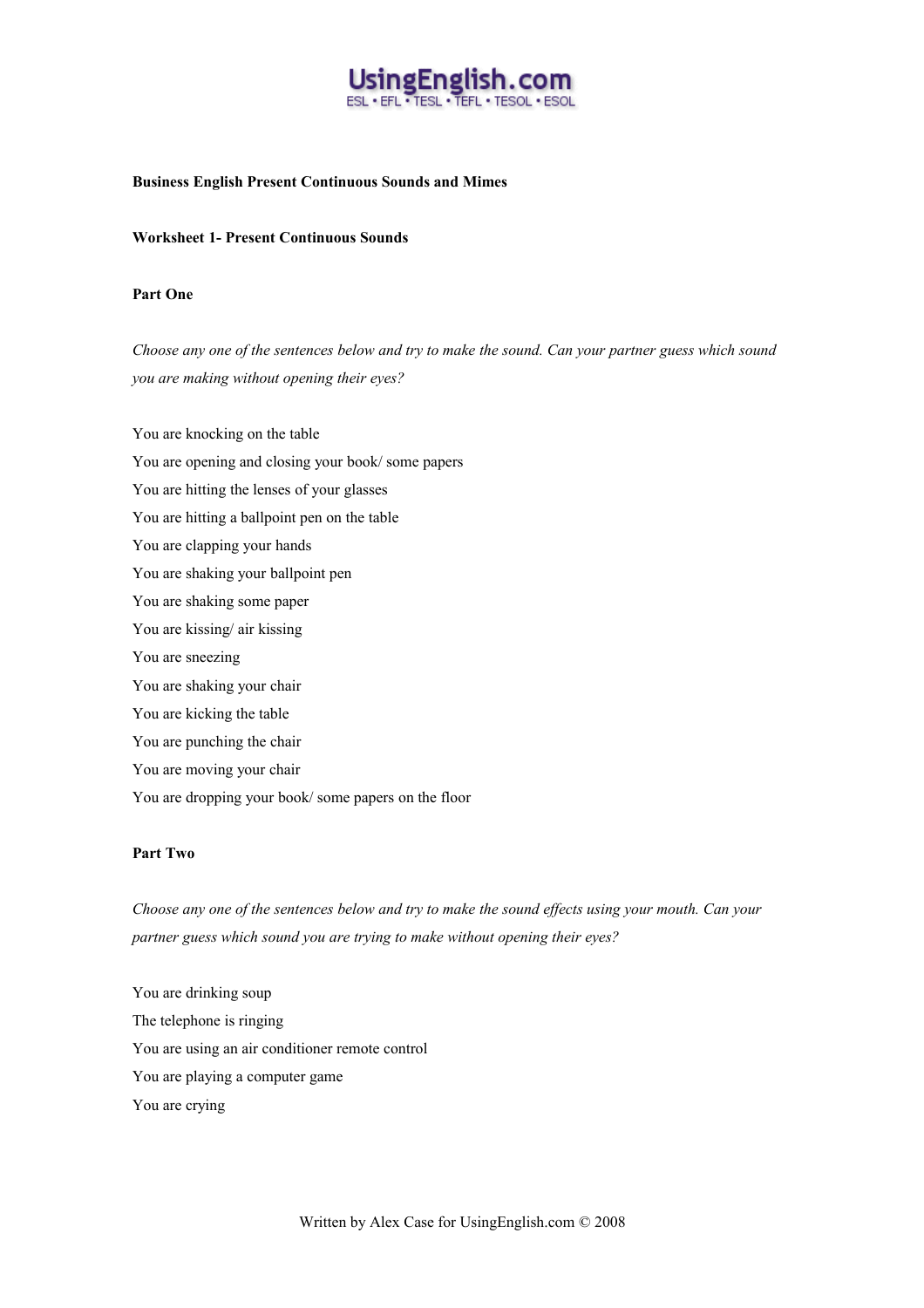

## **Business English Present Continuous Sounds and Mimes**

## **Worksheet 1- Present Continuous Sounds**

## **Part One**

*Choose any one of the sentences below and try to make the sound. Can your partner guess which sound you are making without opening their eyes?*

You are knocking on the table You are opening and closing your book/ some papers You are hitting the lenses of your glasses You are hitting a ballpoint pen on the table You are clapping your hands You are shaking your ballpoint pen You are shaking some paper You are kissing/ air kissing You are sneezing You are shaking your chair You are kicking the table You are punching the chair You are moving your chair You are dropping your book/ some papers on the floor

#### **Part Two**

*Choose any one of the sentences below and try to make the sound effects using your mouth. Can your partner guess which sound you are trying to make without opening their eyes?*

You are drinking soup The telephone is ringing You are using an air conditioner remote control You are playing a computer game You are crying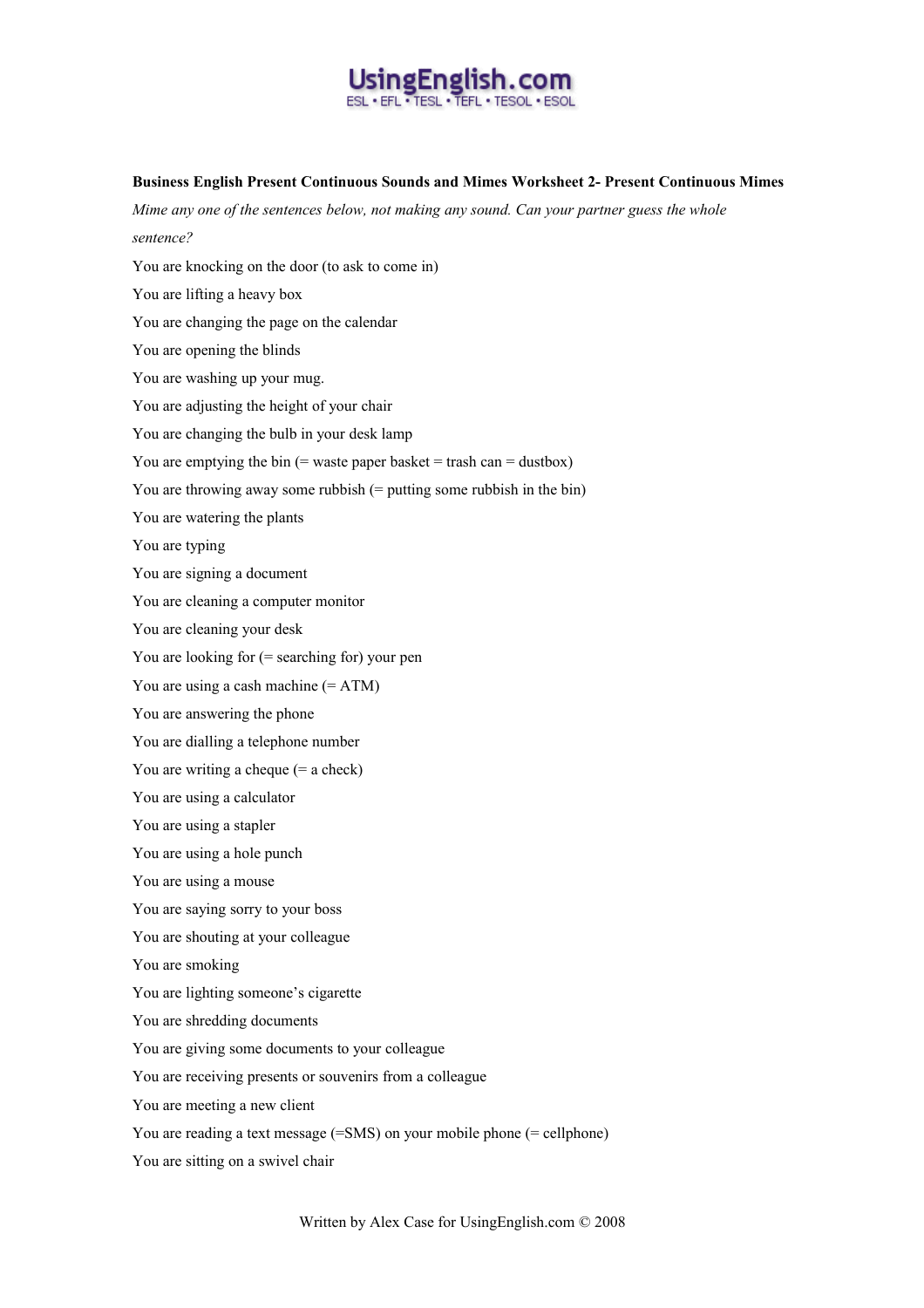

## **Business English Present Continuous Sounds and Mimes Worksheet 2- Present Continuous Mimes**

*Mime any one of the sentences below, not making any sound. Can your partner guess the whole sentence?* You are knocking on the door (to ask to come in) You are lifting a heavy box You are changing the page on the calendar You are opening the blinds You are washing up your mug. You are adjusting the height of your chair You are changing the bulb in your desk lamp You are emptying the bin  $(=$  waste paper basket  $=$  trash can  $=$  dustbox) You are throwing away some rubbish (= putting some rubbish in the bin) You are watering the plants You are typing You are signing a document You are cleaning a computer monitor You are cleaning your desk You are looking for (= searching for) your pen You are using a cash machine (= ATM) You are answering the phone You are dialling a telephone number You are writing a cheque (= a check) You are using a calculator You are using a stapler You are using a hole punch You are using a mouse You are saying sorry to your boss You are shouting at your colleague You are smoking You are lighting someone's cigarette You are shredding documents You are giving some documents to your colleague You are receiving presents or souvenirs from a colleague You are meeting a new client You are reading a text message (=SMS) on your mobile phone (= cellphone) You are sitting on a swivel chair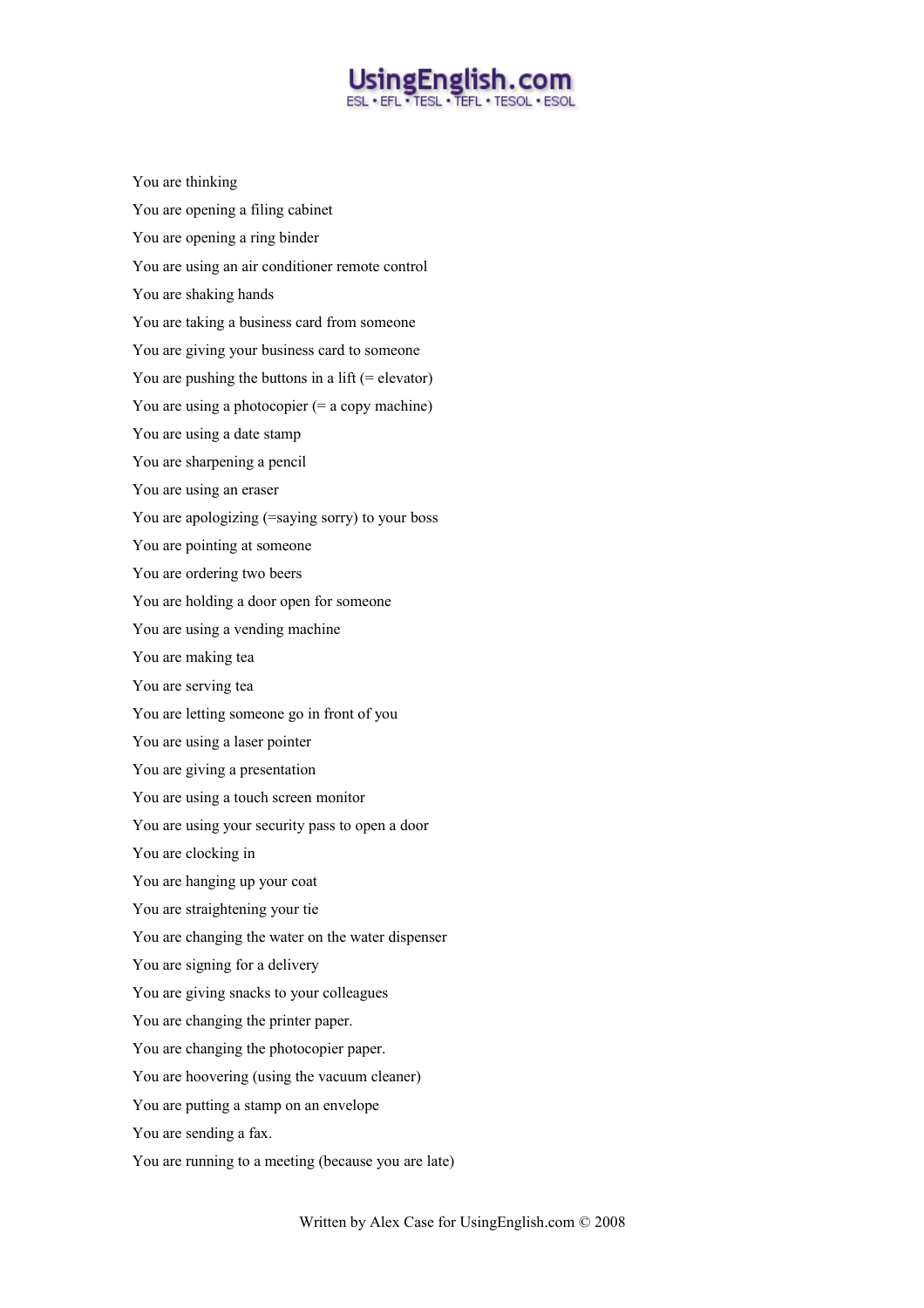# UsingEnglish.com **ESL · EFL · TESL · TEFL · TESOL · ESOL**

You are thinking You are opening a filing cabinet You are opening a ring binder You are using an air conditioner remote control You are shaking hands You are taking a business card from someone You are giving your business card to someone You are pushing the buttons in a lift  $(=$  elevator $)$ You are using a photocopier  $(= a copy machine)$ You are using a date stamp You are sharpening a pencil You are using an eraser You are apologizing (=saying sorry) to your boss You are pointing at someone You are ordering two beers You are holding a door open for someone You are using a vending machine You are making tea You are serving tea You are letting someone go in front of you You are using a laser pointer You are giving a presentation You are using a touch screen monitor You are using your security pass to open a door You are clocking in You are hanging up your coat You are straightening your tie You are changing the water on the water dispenser You are signing for a delivery You are giving snacks to your colleagues You are changing the printer paper. You are changing the photocopier paper. You are hoovering (using the vacuum cleaner) You are putting a stamp on an envelope You are sending a fax. You are running to a meeting (because you are late)